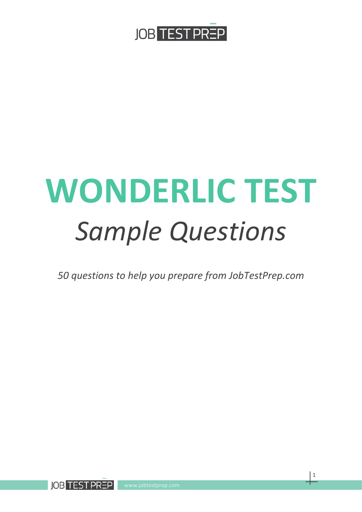

# **WONDERLIC TEST** *Sample Questions*

*50 questions to help you prepare from JobTestPrep.com*



1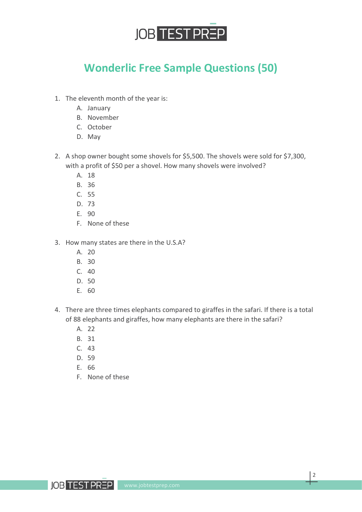

### **Wonderlic Free Sample Questions (50)**

- 1. The eleventh month of the year is:
	- A. January
	- B. November
	- C. October
	- D. May
- 2. A shop owner bought some shovels for \$5,500. The shovels were sold for \$7,300, with a profit of \$50 per a shovel. How many shovels were involved?
	- A. 18
	- B. 36
	- C. 55
	- D. 73
	- E. 90
	- F. None of these
- 3. How many states are there in the U.S.A?
	- A. 20
	- B. 30
	- C. 40
	- D. 50
	- E. 60
- 4. There are three times elephants compared to giraffes in the safari. If there is a total of 88 elephants and giraffes, how many elephants are there in the safari?
	- A. 22
	- B. 31
	- C. 43
	- D. 59
	- E. 66
	- F. None of these

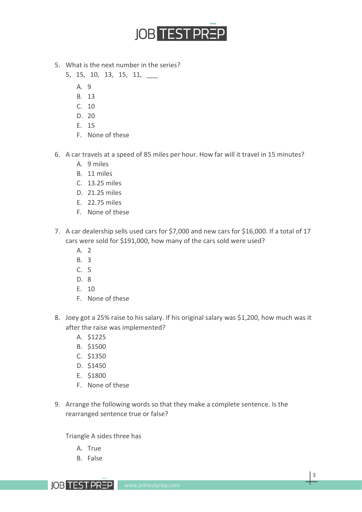

- 5. What is the next number in the series?
	- 5, 15, 10, 13, 15, 11, \_\_\_
		- A. 9
		- B. 13
		- C. 10
		- D. 20
		- E. 15
		- F. None of these
- 6. A car travels at a speed of 85 miles per hour. How far will it travel in 15 minutes?
	- A. 9 miles
	- B. 11 miles
	- C. 13.25 miles
	- D. 21.25 miles
	- E. 22.75 miles
	- F. None of these
- 7. A car dealership sells used cars for \$7,000 and new cars for \$16,000. If a total of 17 cars were sold for \$191,000, how many of the cars sold were used?
	- A. 2
	- B. 3
	- C. 5
	- D. 8
	- E. 10
	- F. None of these
- 8. Joey got a 25% raise to his salary. If his original salary was \$1,200, how much was it after the raise was implemented?
	- A. \$1225
	- B. \$1500
	- C. \$1350
	- D. \$1450
	- E. \$1800
	- F. None of these
- 9. Arrange the following words so that they make a complete sentence. Is the rearranged sentence true or false?

Triangle A sides three has

- A. True
- B. False



3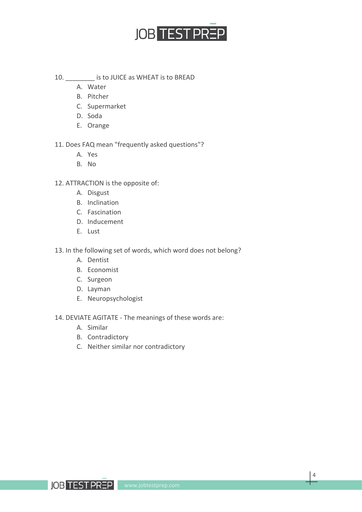

- 10. \_\_\_\_\_\_\_\_ is to JUICE as WHEAT is to BREAD
	- A. Water
	- B. Pitcher
	- C. Supermarket
	- D. Soda
	- E. Orange
- 11. Does FAQ mean "frequently asked questions"?
	- A. Yes
	- B. No
- 12. ATTRACTION is the opposite of:
	- A. Disgust
	- B. Inclination
	- C. Fascination
	- D. Inducement
	- E. Lust
- 13. In the following set of words, which word does not belong?
	- A. Dentist
	- B. Economist
	- C. Surgeon
	- D. Layman
	- E. Neuropsychologist

14. DEVIATE AGITATE - The meanings of these words are:

- A. Similar
- B. Contradictory
- C. Neither similar nor contradictory

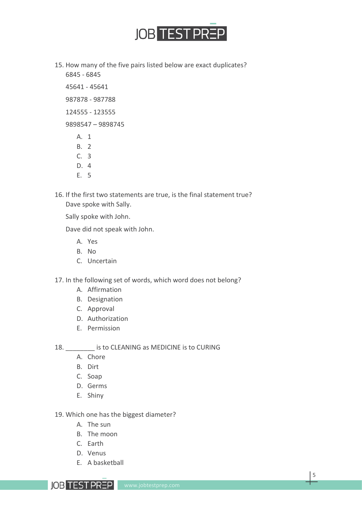

- 15. How many of the five pairs listed below are exact duplicates? 6845 - 6845
	- 45641 45641
	- 987878 987788
	- 124555 123555
	- 9898547 9898745
		- A. 1
		- B. 2
		- C. 3
		- D. 4
		- E. 5
- 16. If the first two statements are true, is the final statement true? Dave spoke with Sally.

Sally spoke with John.

Dave did not speak with John.

- A. Yes
- B. No
- C. Uncertain

17. In the following set of words, which word does not belong?

- A. Affirmation
- B. Designation
- C. Approval
- D. Authorization
- E. Permission

18. **Example 18** is to CLEANING as MEDICINE is to CURING

- A. Chore
- B. Dirt
- C. Soap
- D. Germs
- E. Shiny

19. Which one has the biggest diameter?

- A. The sun
- B. The moon
- C. Earth
- D. Venus
- E. A basketball

**IOB TEST PREP**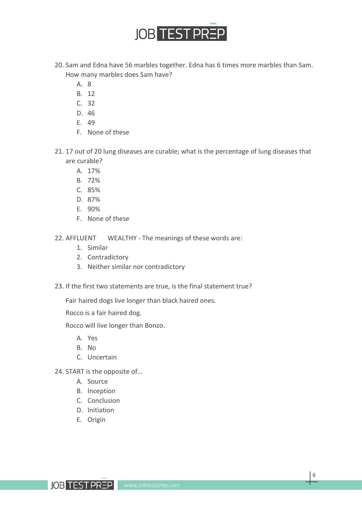

- 20. Sam and Edna have 56 marbles together. Edna has 6 times more marbles than Sam. How many marbles does Sam have?
	- A. 8
	- B. 12
	- C. 32
	- D. 46
	- E. 49
	- F. None of these
- 21. 17 out of 20 lung diseases are curable; what is the percentage of lung diseases that are curable?
	- A. 17%
	- B. 72%
	- C. 85%
	- D. 87%
	- E. 90%
	- F. None of these

22. AFFLUENT WEALTHY - The meanings of these words are:

- 1. Similar
- 2. Contradictory
- 3. Neither similar nor contradictory
- 23. If the first two statements are true, is the final statement true?

Fair haired dogs live longer than black haired ones.

Rocco is a fair haired dog.

Rocco will live longer than Bonzo.

- A. Yes
- B. No
- C. Uncertain
- 24. START is the opposite of...
	- A. Source
	- B. Inception
	- C. Conclusion
	- D. Initiation
	- E. Origin

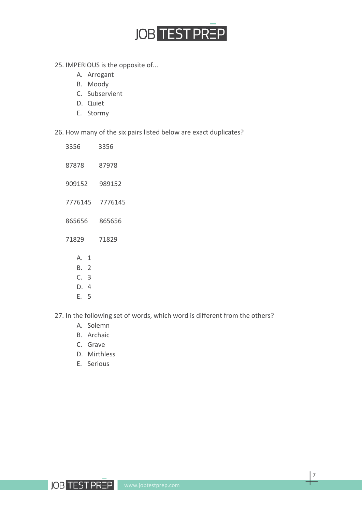

- 25. IMPERIOUS is the opposite of...
	- A. Arrogant
	- B. Moody
	- C. Subservient
	- D. Quiet
	- E. Stormy

26. How many of the six pairs listed below are exact duplicates?

- 3356 3356 87878 87978 909152 989152 7776145 7776145 865656 865656 71829 71829 A. 1 B. 2
	- C. 3
	- D. 4
	- E. 5

27. In the following set of words, which word is different from the others?

- A. Solemn
- B. Archaic
- C. Grave
- D. Mirthless
- E. Serious

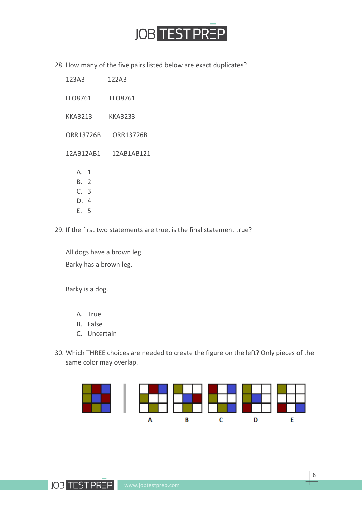

28. How many of the five pairs listed below are exact duplicates?

| 123A3                                | 122A3                |
|--------------------------------------|----------------------|
| LLO8761                              | LLO8761              |
| KKA3213                              | KKA3233              |
| ORR13726B                            | ORR13726B            |
|                                      | 12AB12AB1 12AB1AB121 |
| A. 1<br>B. 2<br>C. 3<br>D. 4<br>E. 5 |                      |

29. If the first two statements are true, is the final statement true?

All dogs have a brown leg. Barky has a brown leg.

Barky is a dog.

- A. True
- B. False
- C. Uncertain
- 30. Which THREE choices are needed to create the figure on the left? Only pieces of the same color may overlap.



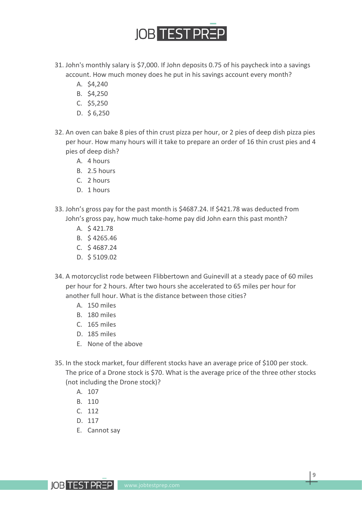

- 31. John's monthly salary is \$7,000. If John deposits 0.75 of his paycheck into a savings account. How much money does he put in his savings account every month?
	- A. \$4,240
	- B. \$4,250
	- C. \$5,250
	- D. \$ 6,250
- 32. An oven can bake 8 pies of thin crust pizza per hour, or 2 pies of deep dish pizza pies per hour. How many hours will it take to prepare an order of 16 thin crust pies and 4 pies of deep dish?
	- A. 4 hours
	- B. 2.5 hours
	- C. 2 hours
	- D. 1 hours
- 33. John's gross pay for the past month is \$4687.24. If \$421.78 was deducted from John's gross pay, how much take-home pay did John earn this past month?
	- A. \$ 421.78
	- B. \$ 4265.46
	- C. \$ 4687.24
	- D. \$ 5109.02
- 34. A motorcyclist rode between Flibbertown and Guinevill at a steady pace of 60 miles per hour for 2 hours. After two hours she accelerated to 65 miles per hour for another full hour. What is the distance between those cities?
	- A. 150 miles
	- B. 180 miles
	- C. 165 miles
	- D. 185 miles
	- E. None of the above
- 35. In the stock market, four different stocks have an average price of \$100 per stock. The price of a Drone stock is \$70. What is the average price of the three other stocks (not including the Drone stock)?
	- A. 107
	- B. 110
	- C. 112
	- D. 117
	- E. Cannot say

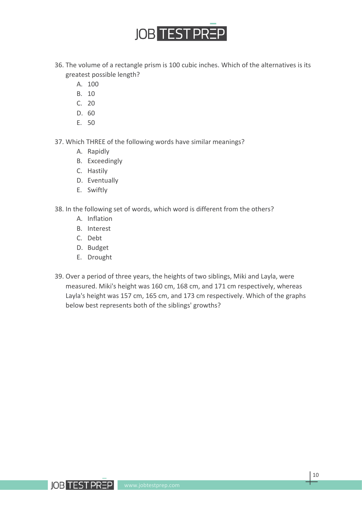

- 36. The volume of a rectangle prism is 100 cubic inches. Which of the alternatives is its greatest possible length?
	- A. 100
	- B. 10
	- C. 20
	- D. 60
	- E. 50

37. Which THREE of the following words have similar meanings?

- A. Rapidly
- B. Exceedingly
- C. Hastily
- D. Eventually
- E. Swiftly

38. In the following set of words, which word is different from the others?

- A. Inflation
- B. Interest
- C. Debt
- D. Budget
- E. Drought
- 39. Over a period of three years, the heights of two siblings, Miki and Layla, were measured. Miki's height was 160 cm, 168 cm, and 171 cm respectively, whereas Layla's height was 157 cm, 165 cm, and 173 cm respectively. Which of the graphs below best represents both of the siblings' growths?

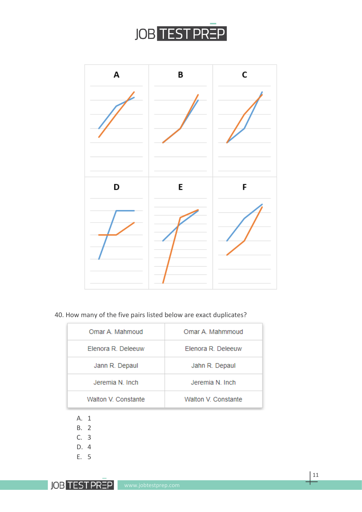

| A | B | C |
|---|---|---|
| D | E | F |

#### 40. How many of the five pairs listed below are exact duplicates?

| Omar A. Mahmoud     | Omar A. Mahmmoud    |
|---------------------|---------------------|
| Elenora R. Deleeuw  | Elenora R. Deleeuw  |
| Jann R. Depaul      | Jahn R. Depaul      |
| Jeremia N. Inch     | Jeremia N. Inch     |
| Walton V. Constante | Walton V. Constante |

- A. 1
- B. 2
- C. 3
- D. 4
- E. 5

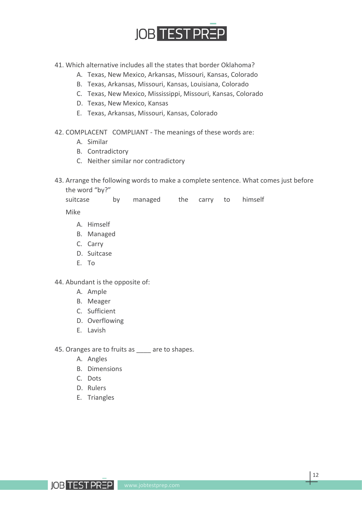

- 41. Which alternative includes all the states that border Oklahoma?
	- A. Texas, New Mexico, Arkansas, Missouri, Kansas, Colorado
	- B. Texas, Arkansas, Missouri, Kansas, Louisiana, Colorado
	- C. Texas, New Mexico, Mississippi, Missouri, Kansas, Colorado
	- D. Texas, New Mexico, Kansas
	- E. Texas, Arkansas, Missouri, Kansas, Colorado
- 42. COMPLACENT COMPLIANT The meanings of these words are:
	- A. Similar
	- B. Contradictory
	- C. Neither similar nor contradictory
- 43. Arrange the following words to make a complete sentence. What comes just before the word "by?"

|                              | suitcase by managed the carry to himself |  |  |  |
|------------------------------|------------------------------------------|--|--|--|
| $N$ $\Lambda$ : $L_{\infty}$ |                                          |  |  |  |

Mike

- A. Himself
- B. Managed
- C. Carry
- D. Suitcase
- E. To

44. Abundant is the opposite of:

- A. Ample
- B. Meager
- C. Sufficient
- D. Overflowing
- E. Lavish

45. Oranges are to fruits as are to shapes.

- A. Angles
- B. Dimensions
- C. Dots
- D. Rulers
- E. Triangles

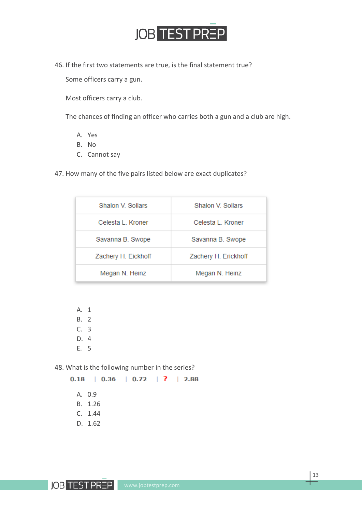

46. If the first two statements are true, is the final statement true?

Some officers carry a gun.

Most officers carry a club.

The chances of finding an officer who carries both a gun and a club are high.

- A. Yes
- B. No
- C. Cannot say

47. How many of the five pairs listed below are exact duplicates?

| Shalon V. Sollars   | Shalon V. Sollars    |
|---------------------|----------------------|
| Celesta L. Kroner   | Celesta L. Kroner    |
| Savanna B. Swope    | Savanna B. Swope     |
| Zachery H. Eickhoff | Zachery H. Erickhoff |
| Megan N. Heinz      | Megan N. Heinz       |

A. 1 B. 2

- C. 3
- D. 4
- E. 5

48. What is the following number in the series?

 $0.18$  |  $0.36$  |  $0.72$  | ? | 2.88

- A. 0.9
- B. 1.26
- C. 1.44
- D. 1.62

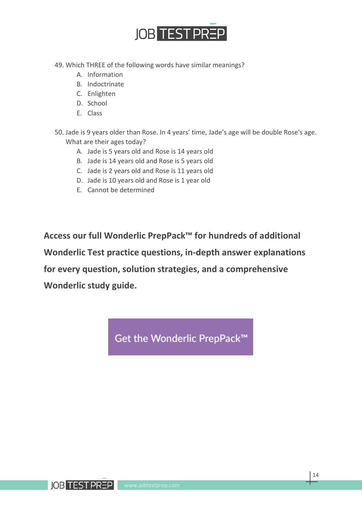

- 49. Which THREE of the following words have similar meanings?
	- A. Information
	- B. Indoctrinate
	- C. Enlighten
	- D. School
	- E. Class

50. Jade is 9 years older than Rose. In 4 years' time, Jade's age will be double Rose's age. What are their ages today?

- A. Jade is 5 years old and Rose is 14 years old
- B. Jade is 14 years old and Rose is 5 years old
- C. Jade is 2 years old and Rose is 11 years old
- D. Jade is 10 years old and Rose is 1 year old
- E. Cannot be determined

**Access our full Wonderlic PrepPack™ for hundreds of additional Wonderlic Test practice questions, in-depth answer explanations for every question, solution strategies, and a comprehensive Wonderlic study guide.**

Get the Wonderlic PrepPack™

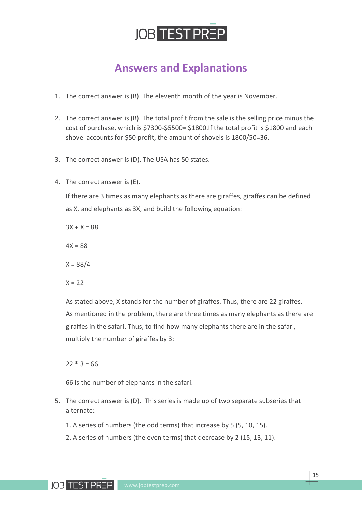

### **Answers and Explanations**

- 1. The correct answer is (B). The eleventh month of the year is November.
- 2. The correct answer is (B). The total profit from the sale is the selling price minus the cost of purchase, which is \$7300-\$5500= \$1800.If the total profit is \$1800 and each shovel accounts for \$50 profit, the amount of shovels is 1800/50=36.
- 3. The correct answer is (D). The USA has 50 states.
- 4. The correct answer is (E).

If there are 3 times as many elephants as there are giraffes, giraffes can be defined as X, and elephants as 3X, and build the following equation:

 $3X + X = 88$ 

 $4X = 88$ 

 $X = 88/4$ 

 $X = 22$ 

As stated above, X stands for the number of giraffes. Thus, there are 22 giraffes. As mentioned in the problem, there are three times as many elephants as there are giraffes in the safari. Thus, to find how many elephants there are in the safari, multiply the number of giraffes by 3:

#### $22 * 3 = 66$

66 is the number of elephants in the safari.

- 5. The correct answer is (D). This series is made up of two separate subseries that alternate:
	- 1. A series of numbers (the odd terms) that increase by 5 (5, 10, 15).
	- 2. A series of numbers (the even terms) that decrease by 2 (15, 13, 11).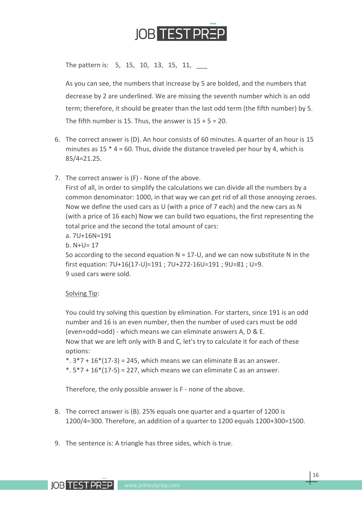

The pattern is: 5, 15, 10, 13, 15, 11,

As you can see, the numbers that increase by 5 are bolded, and the numbers that decrease by 2 are underlined. We are missing the seventh number which is an odd term; therefore, it should be greater than the last odd term (the fifth number) by 5. The fifth number is 15. Thus, the answer is  $15 + 5 = 20$ .

- 6. The correct answer is (D). An hour consists of 60 minutes. A quarter of an hour is 15 minutes as  $15 * 4 = 60$ . Thus, divide the distance traveled per hour by 4, which is 85/4=21.25.
- 7. The correct answer is (F) None of the above.

First of all, in order to simplify the calculations we can divide all the numbers by a common denominator: 1000, in that way we can get rid of all those annoying zeroes. Now we define the used cars as U (with a price of 7 each) and the new cars as N (with a price of 16 each) Now we can build two equations, the first representing the total price and the second the total amount of cars:

a. 7U+16N=191

b. N+U= 17

So according to the second equation  $N = 17$ -U, and we can now substitute N in the first equation: 7U+16(17-U)=191 ; 7U+272-16U=191 ; 9U=81 ; U=9. 9 used cars were sold.

#### Solving Tip:

You could try solving this question by elimination. For starters, since 191 is an odd number and 16 is an even number, then the number of used cars must be odd (even+odd=odd) - which means we can eliminate answers A, D & E. Now that we are left only with B and C, let's try to calculate it for each of these options:

 $*$ .  $3*7 + 16*(17-3) = 245$ , which means we can eliminate B as an answer.

 $*$ .  $5*7 + 16*(17-5) = 227$ , which means we can eliminate C as an answer.

Therefore, the only possible answer is F - none of the above.

- 8. The correct answer is (B). 25% equals one quarter and a quarter of 1200 is 1200/4=300. Therefore, an addition of a quarter to 1200 equals 1200+300=1500.
- 9. The sentence is: A triangle has three sides, which is true.

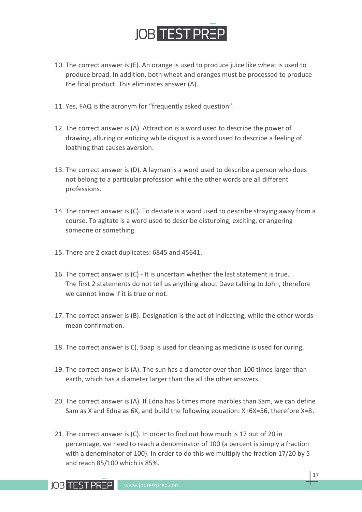

- 10. The correct answer is (E). An orange is used to produce juice like wheat is used to produce bread. In addition, both wheat and oranges must be processed to produce the final product. This eliminates answer (A).
- 11. Yes, FAQ is the acronym for "frequently asked question".
- 12. The correct answer is (A). Attraction is a word used to describe the power of drawing, alluring or enticing while disgust is a word used to describe a feeling of loathing that causes aversion.
- 13. The correct answer is (D). A layman is a word used to describe a person who does not belong to a particular profession while the other words are all different professions.
- 14. The correct answer is (C). To deviate is a word used to describe straying away from a course. To agitate is a word used to describe disturbing, exciting, or angering someone or something.
- 15. There are 2 exact duplicates: 6845 and 45641.
- 16. The correct answer is (C) It is uncertain whether the last statement is true. The first 2 statements do not tell us anything about Dave talking to John, therefore we cannot know if it is true or not.
- 17. The correct answer is (B). Designation is the act of indicating, while the other words mean confirmation.
- 18. The correct answer is C). Soap is used for cleaning as medicine is used for curing.
- 19. The correct answer is (A). The sun has a diameter over than 100 times larger than earth, which has a diameter larger than the all the other answers.
- 20. The correct answer is (A). If Edna has 6 times more marbles than Sam, we can define Sam as X and Edna as 6X, and build the following equation: X+6X=56, therefore X=8.
- 21. The correct answer is (C). In order to find out how much is 17 out of 20 in percentage, we need to reach a denominator of 100 (a percent is simply a fraction with a denominator of 100). In order to do this we multiply the fraction 17/20 by 5 and reach 85/100 which is 85%.

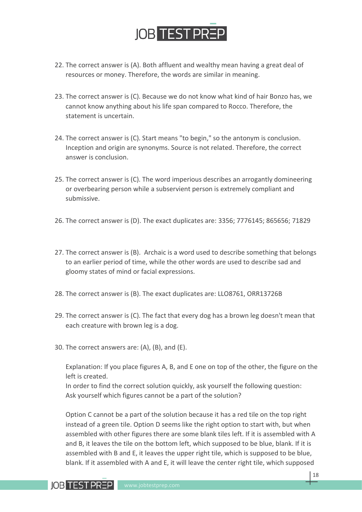

- 22. The correct answer is (A). Both affluent and wealthy mean having a great deal of resources or money. Therefore, the words are similar in meaning.
- 23. The correct answer is (C). Because we do not know what kind of hair Bonzo has, we cannot know anything about his life span compared to Rocco. Therefore, the statement is uncertain.
- 24. The correct answer is (C). Start means "to begin," so the antonym is conclusion. Inception and origin are synonyms. Source is not related. Therefore, the correct answer is conclusion.
- 25. The correct answer is (C). The word imperious describes an arrogantly domineering or overbearing person while a subservient person is extremely compliant and submissive.
- 26. The correct answer is (D). The exact duplicates are: 3356; 7776145; 865656; 71829
- 27. The correct answer is (B). Archaic is a word used to describe something that belongs to an earlier period of time, while the other words are used to describe sad and gloomy states of mind or facial expressions.
- 28. The correct answer is (B). The exact duplicates are: LLO8761, ORR13726B
- 29. The correct answer is (C). The fact that every dog has a brown leg doesn't mean that each creature with brown leg is a dog.
- 30. The correct answers are: (A), (B), and (E).

Explanation: If you place figures A, B, and E one on top of the other, the figure on the left is created.

In order to find the correct solution quickly, ask yourself the following question: Ask yourself which figures cannot be a part of the solution?

Option C cannot be a part of the solution because it has a red tile on the top right instead of a green tile. Option D seems like the right option to start with, but when assembled with other figures there are some blank tiles left. If it is assembled with A and B, it leaves the tile on the bottom left, which supposed to be blue, blank. If it is assembled with B and E, it leaves the upper right tile, which is supposed to be blue, blank. If it assembled with A and E, it will leave the center right tile, which supposed

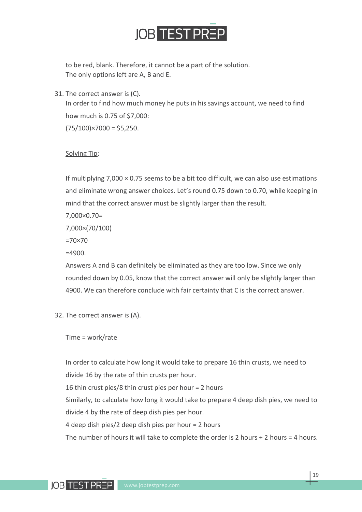

to be red, blank. Therefore, it cannot be a part of the solution. The only options left are A, B and E.

31. The correct answer is (C).

In order to find how much money he puts in his savings account, we need to find how much is 0.75 of \$7,000:

 $(75/100)$ ×7000 = \$5,250.

#### Solving Tip:

If multiplying  $7,000 \times 0.75$  seems to be a bit too difficult, we can also use estimations and eliminate wrong answer choices. Let's round 0.75 down to 0.70, while keeping in mind that the correct answer must be slightly larger than the result.

7,000×0.70=

7,000×(70/100)

=70×70

 $=4900$ 

Answers A and B can definitely be eliminated as they are too low. Since we only rounded down by 0.05, know that the correct answer will only be slightly larger than 4900. We can therefore conclude with fair certainty that C is the correct answer.

32. The correct answer is (A).

Time = work/rate

In order to calculate how long it would take to prepare 16 thin crusts, we need to divide 16 by the rate of thin crusts per hour. 16 thin crust pies/8 thin crust pies per hour = 2 hours Similarly, to calculate how long it would take to prepare 4 deep dish pies, we need to divide 4 by the rate of deep dish pies per hour. 4 deep dish pies/2 deep dish pies per hour = 2 hours The number of hours it will take to complete the order is 2 hours  $+ 2$  hours = 4 hours.

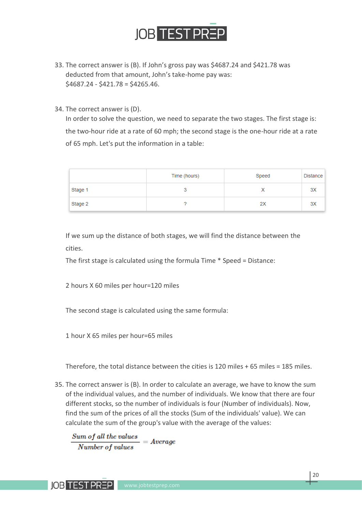

- 33. The correct answer is (B). If John's gross pay was \$4687.24 and \$421.78 was deducted from that amount, John's take-home pay was:  $$4687.24 - $421.78 = $4265.46.$
- 34. The correct answer is (D).

In order to solve the question, we need to separate the two stages. The first stage is: the two-hour ride at a rate of 60 mph; the second stage is the one-hour ride at a rate of 65 mph. Let's put the information in a table:

|         | Time (hours) | Speed | Distance |
|---------|--------------|-------|----------|
| Stage 1 | v            | Х     | 3X       |
| Stage 2 |              | 2X    | 3X       |

If we sum up the distance of both stages, we will find the distance between the cities.

The first stage is calculated using the formula Time \* Speed = Distance:

2 hours X 60 miles per hour=120 miles

The second stage is calculated using the same formula:

1 hour X 65 miles per hour=65 miles

Therefore, the total distance between the cities is 120 miles + 65 miles = 185 miles.

35. The correct answer is (B). In order to calculate an average, we have to know the sum of the individual values, and the number of individuals. We know that there are four different stocks, so the number of individuals is four (Number of individuals). Now, find the sum of the prices of all the stocks (Sum of the individuals' value). We can calculate the sum of the group's value with the average of the values:

Sum of all the values  $= Average$ Number of values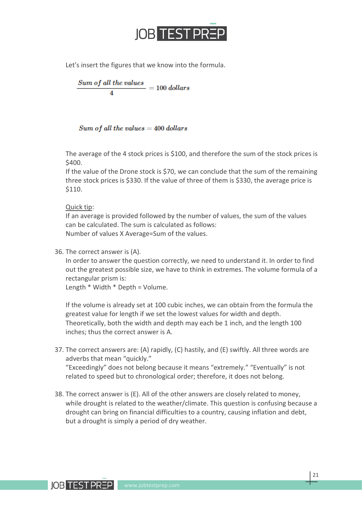

Let's insert the figures that we know into the formula.

$$
\frac{Sum\ of\ all\ the\ values}{4}=100\ dollars
$$

#### $Sum of all the values = 400 dollars$

The average of the 4 stock prices is \$100, and therefore the sum of the stock prices is \$400.

If the value of the Drone stock is \$70, we can conclude that the sum of the remaining three stock prices is \$330. If the value of three of them is \$330, the average price is \$110.

#### Quick tip:

If an average is provided followed by the number of values, the sum of the values can be calculated. The sum is calculated as follows: Number of values X Average=Sum of the values.

#### 36. The correct answer is (A).

In order to answer the question correctly, we need to understand it. In order to find out the greatest possible size, we have to think in extremes. The volume formula of a rectangular prism is:

Length \* Width \* Depth = Volume.

If the volume is already set at 100 cubic inches, we can obtain from the formula the greatest value for length if we set the lowest values for width and depth. Theoretically, both the width and depth may each be 1 inch, and the length 100 inches; thus the correct answer is A.

- 37. The correct answers are: (A) rapidly, (C) hastily, and (E) swiftly. All three words are adverbs that mean "quickly." "Exceedingly" does not belong because it means "extremely." "Eventually" is not
- related to speed but to chronological order; therefore, it does not belong. 38. The correct answer is (E). All of the other answers are closely related to money,
- while drought is related to the weather/climate. This question is confusing because a drought can bring on financial difficulties to a country, causing inflation and debt, but a drought is simply a period of dry weather.

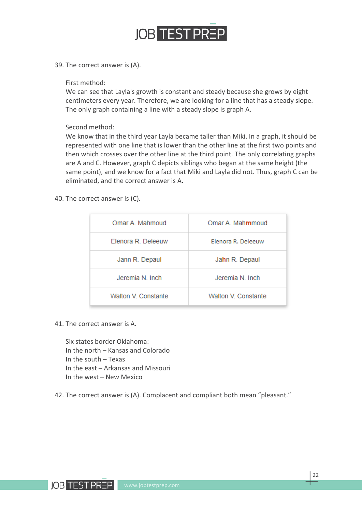

39. The correct answer is (A).

#### First method:

We can see that Layla's growth is constant and steady because she grows by eight centimeters every year. Therefore, we are looking for a line that has a steady slope. The only graph containing a line with a steady slope is graph A.

Second method:

We know that in the third year Layla became taller than Miki. In a graph, it should be represented with one line that is lower than the other line at the first two points and then which crosses over the other line at the third point. The only correlating graphs are A and C. However, graph C depicts siblings who began at the same height (the same point), and we know for a fact that Miki and Layla did not. Thus, graph C can be eliminated, and the correct answer is A.

40. The correct answer is (C).

| Omar A. Mahmoud           | Omar A. Mahmmoud    |
|---------------------------|---------------------|
| <b>Elenora R. Deleeuw</b> | Elenora R. Deleeuw  |
| Jann R. Depaul            | Jahn R. Depaul      |
| Jeremia N Inch            | Jeremia N. Inch     |
| Walton V. Constante       | Walton V. Constante |

41. The correct answer is A.

Six states border Oklahoma: In the north – Kansas and Colorado In the south – Texas In the east – Arkansas and Missouri In the west – New Mexico

42. The correct answer is (A). Complacent and compliant both mean "pleasant."

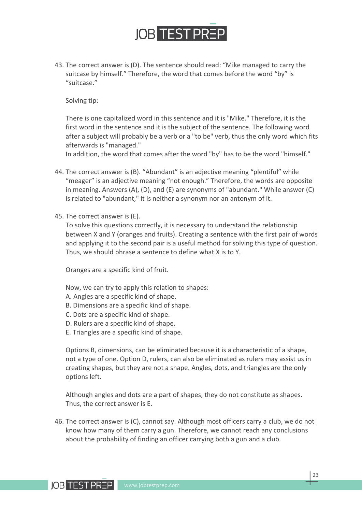

43. The correct answer is (D). The sentence should read: "Mike managed to carry the suitcase by himself." Therefore, the word that comes before the word "by" is "suitcase."

#### Solving tip:

There is one capitalized word in this sentence and it is "Mike." Therefore, it is the first word in the sentence and it is the subject of the sentence. The following word after a subject will probably be a verb or a "to be" verb, thus the only word which fits afterwards is "managed."

In addition, the word that comes after the word "by" has to be the word "himself."

- 44. The correct answer is (B). "Abundant" is an adjective meaning "plentiful" while "meager" is an adjective meaning "not enough." Therefore, the words are opposite in meaning. Answers (A), (D), and (E) are synonyms of "abundant." While answer (C) is related to "abundant," it is neither a synonym nor an antonym of it.
- 45. The correct answer is (E).

To solve this questions correctly, it is necessary to understand the relationship between X and Y (oranges and fruits). Creating a sentence with the first pair of words and applying it to the second pair is a useful method for solving this type of question. Thus, we should phrase a sentence to define what X is to Y.

Oranges are a specific kind of fruit.

Now, we can try to apply this relation to shapes:

- A. Angles are a specific kind of shape.
- B. Dimensions are a specific kind of shape.
- C. Dots are a specific kind of shape.
- D. Rulers are a specific kind of shape.
- E. Triangles are a specific kind of shape.

Options B, dimensions, can be eliminated because it is a characteristic of a shape, not a type of one. Option D, rulers, can also be eliminated as rulers may assist us in creating shapes, but they are not a shape. Angles, dots, and triangles are the only options left.

Although angles and dots are a part of shapes, they do not constitute as shapes. Thus, the correct answer is E.

46. The correct answer is (C), cannot say. Although most officers carry a club, we do not know how many of them carry a gun. Therefore, we cannot reach any conclusions about the probability of finding an officer carrying both a gun and a club.



23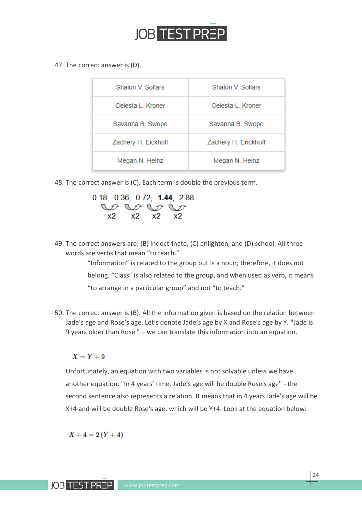

47. The correct answer is (D).

| Shalon V. Sollars   | Shalon V Sollars     |
|---------------------|----------------------|
| Celesta L. Kroner   | Celesta L. Kroner    |
| Savanna B. Swope    | Savanna B. Swope     |
| Zachery H. Eickhoff | Zachery H. Erickhoff |
| Megan N. Heinz      | Megan N. Heinz       |

48. The correct answer is (C). Each term is double the previous term.



49. The correct answers are: (B) indoctrinate, (C) enlighten, and (D) school. All three words are verbs that mean "to teach."

> "Information" is related to the group but is a noun; therefore, it does not belong. "Class" is also related to the group, and when used as verb, it means "to arrange in a particular group" and not "to teach."

50. The correct answer is (B). All the information given is based on the relation between Jade's age and Rose's age. Let's denote Jade's age by X and Rose's age by Y. "Jade is 9 years older than Rose " – we can translate this information into an equation.

#### $X = Y + 9$

Unfortunately, an equation with two variables is not solvable unless we have another equation. "In 4 years' time, Jade's age will be double Rose's age" - the second sentence also represents a relation. It means that in 4 years Jade's age will be X+4 and will be double Rose's age, which will be Y+4. Look at the equation below:

$$
X+4=2(Y+4)
$$

**IOB TEST PREP**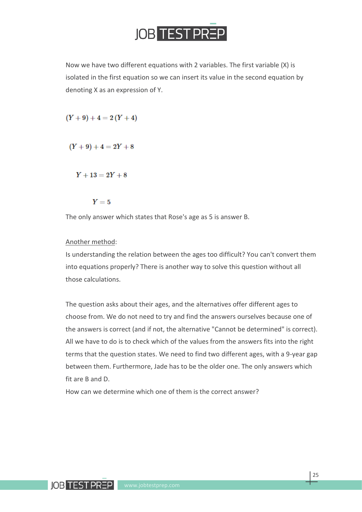

Now we have two different equations with 2 variables. The first variable (X) is isolated in the first equation so we can insert its value in the second equation by denoting X as an expression of Y.

 $(Y+9)+4=2(Y+4)$ 

 $(Y+9)+4=2Y+8$ 

 $Y + 13 = 2Y + 8$ 

 $Y=5$ 

The only answer which states that Rose's age as 5 is answer B.

#### Another method:

Is understanding the relation between the ages too difficult? You can't convert them into equations properly? There is another way to solve this question without all those calculations.

The question asks about their ages, and the alternatives offer different ages to choose from. We do not need to try and find the answers ourselves because one of the answers is correct (and if not, the alternative "Cannot be determined" is correct). All we have to do is to check which of the values from the answers fits into the right terms that the question states. We need to find two different ages, with a 9-year gap between them. Furthermore, Jade has to be the older one. The only answers which fit are B and D.

How can we determine which one of them is the correct answer?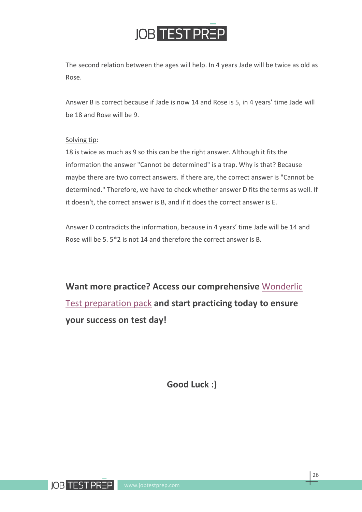

The second relation between the ages will help. In 4 years Jade will be twice as old as Rose.

Answer B is correct because if Jade is now 14 and Rose is 5, in 4 years' time Jade will be 18 and Rose will be 9.

#### Solving tip:

18 is twice as much as 9 so this can be the right answer. Although it fits the information the answer "Cannot be determined" is a trap. Why is that? Because maybe there are two correct answers. If there are, the correct answer is "Cannot be determined." Therefore, we have to check whether answer D fits the terms as well. If it doesn't, the correct answer is B, and if it does the correct answer is E.

Answer D contradicts the information, because in 4 years' time Jade will be 14 and Rose will be 5. 5\*2 is not 14 and therefore the correct answer is B.

**Want more practice? Access our comprehensive** [Wonderlic](https://www.jobtestprep.com/wonderlic-cognitive-ability?utm_source=jtpcom&utm_campaign=Wonderlic-study-guide&utm_medium=pdf&utm_content=wonderlic-cognitive-ability)  [Test preparation pack](https://www.jobtestprep.com/wonderlic-cognitive-ability?utm_source=jtpcom&utm_campaign=Wonderlic-study-guide&utm_medium=pdf&utm_content=wonderlic-cognitive-ability) **and start practicing today to ensure your success on test day!**

**Good Luck :)**